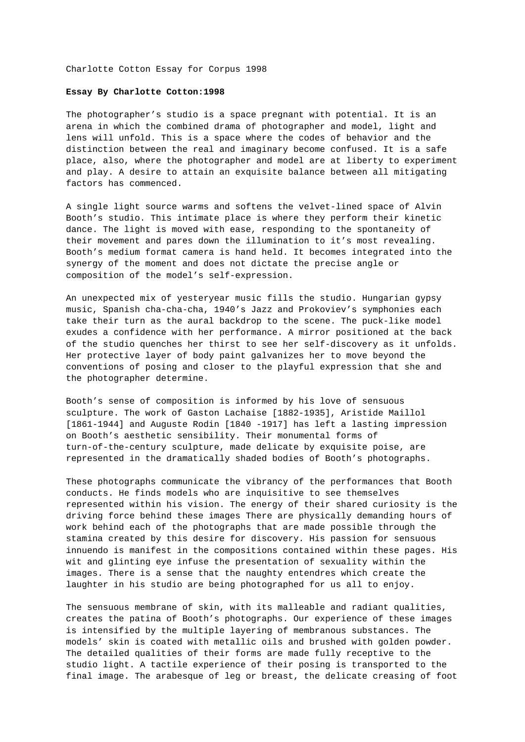Charlotte Cotton Essay for Corpus 1998

## **Essay By Charlotte Cotton:1998**

The photographer's studio is a space pregnant with potential. It is an arena in which the combined drama of photographer and model, light and lens will unfold. This is a space where the codes of behavior and the distinction between the real and imaginary become confused. It is a safe place, also, where the photographer and model are at liberty to experiment and play. A desire to attain an exquisite balance between all mitigating factors has commenced.

A single light source warms and softens the velvet-lined space of Alvin Booth's studio. This intimate place is where they perform their kinetic dance. The light is moved with ease, responding to the spontaneity of their movement and pares down the illumination to it's most revealing. Booth's medium format camera is hand held. It becomes integrated into the synergy of the moment and does not dictate the precise angle or composition of the model's self-expression.

An unexpected mix of yesteryear music fills the studio. Hungarian gypsy music, Spanish cha-cha-cha, 1940's Jazz and Prokoviev's symphonies each take their turn as the aural backdrop to the scene. The puck-like model exudes a confidence with her performance. A mirror positioned at the back of the studio quenches her thirst to see her self-discovery as it unfolds. Her protective layer of body paint galvanizes her to move beyond the conventions of posing and closer to the playful expression that she and the photographer determine.

Booth's sense of composition is informed by his love of sensuous sculpture. The work of Gaston Lachaise [1882-1935], Aristide Maillol [1861-1944] and Auguste Rodin [1840 -1917] has left a lasting impression on Booth's aesthetic sensibility. Their monumental forms of turn-of-the-century sculpture, made delicate by exquisite poise, are represented in the dramatically shaded bodies of Booth's photographs.

These photographs communicate the vibrancy of the performances that Booth conducts. He finds models who are inquisitive to see themselves represented within his vision. The energy of their shared curiosity is the driving force behind these images There are physically demanding hours of work behind each of the photographs that are made possible through the stamina created by this desire for discovery. His passion for sensuous innuendo is manifest in the compositions contained within these pages. His wit and glinting eye infuse the presentation of sexuality within the images. There is a sense that the naughty entendres which create the laughter in his studio are being photographed for us all to enjoy.

The sensuous membrane of skin, with its malleable and radiant qualities, creates the patina of Booth's photographs. Our experience of these images is intensified by the multiple layering of membranous substances. The models' skin is coated with metallic oils and brushed with golden powder. The detailed qualities of their forms are made fully receptive to the studio light. A tactile experience of their posing is transported to the final image. The arabesque of leg or breast, the delicate creasing of foot